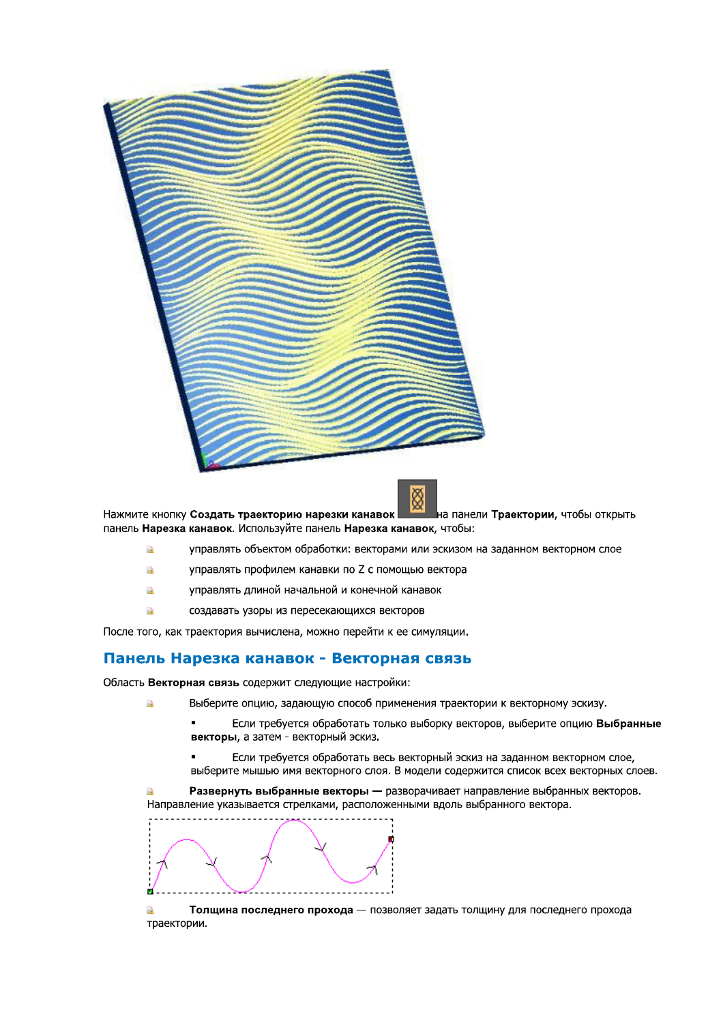

на панели **Траектории**, чтобы открыть Нажмите кнопку Создать траекторию нарезки канавок панель Нарезка канавок. Используйте панель Нарезка канавок, чтобы:

- à управлять объектом обработки: векторами или эскизом на заданном векторном слое
- À управлять профилем канавки по Z с помощью вектора
- À управлять длиной начальной и конечной канавок
- создавать узоры из пересекающихся векторов À

После того, как траектория вычислена, можно перейти к ее симуляции.

#### Панель Нарезка канавок - Векторная связь

Область Векторная связь содержит следующие настройки:

Ŕ

- Выберите опцию, задающую способ применения траектории к векторному эскизу.
	- Если требуется обработать только выборку векторов, выберите опцию Выбранные векторы, а затем - векторный эскиз.
	- Если требуется обработать весь векторный эскиз на заданном векторном слое. выберите мышью имя векторного слоя. В модели содержится список всех векторных слоев.

Развернуть выбранные векторы - разворачивает направление выбранных векторов. Направление указывается стрелками, расположенными вдоль выбранного вектора.



Толщина последнего прохода - позволяет задать толщину для последнего прохода траектории.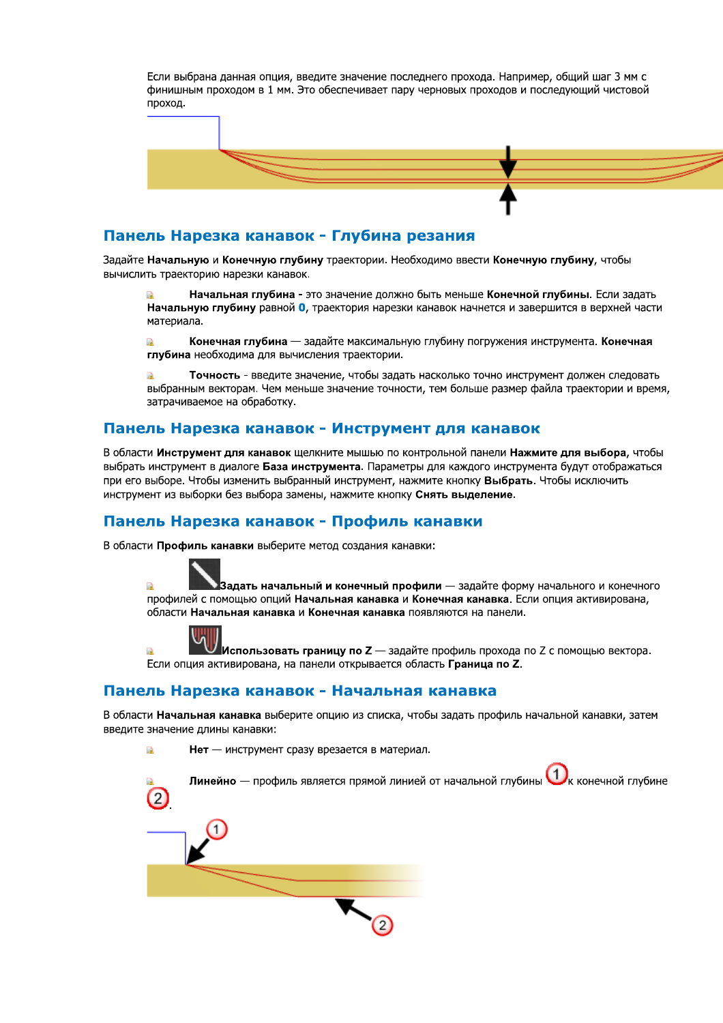Если выбрана данная опция, введите значение последнего прохода. Например, общий шаг 3 мм с финишным проходом в 1 мм. Это обеспечивает пару черновых проходов и последующий чистовой проход.



## Панель Нарезка канавок - Глубина резания

Задайте Начальную и Конечную глубину траектории. Необходимо ввести Конечную глубину, чтобы вычислить траекторию нарезки канавок.

Начальная глубина - это значение должно быть меньше Конечной глубины. Если задать Начальную глубину равной 0, траектория нарезки канавок начнется и завершится в верхней части материала.

 $\overline{\mathbb{R}}$ Конечная глубина — задайте максимальную глубину погружения инструмента. Конечная глубина необходима для вычисления траектории.

Точность - введите значение, чтобы задать насколько точно инструмент должен следовать выбранным векторам. Чем меньше значение точности, тем больше размер файла траектории и время, затрачиваемое на обработку.

# Панель Нарезка канавок - Инструмент для канавок

В области Инструмент для канавок щелкните мышью по контрольной панели Нажмите для выбора, чтобы выбрать инструмент в диалоге База инструмента. Параметры для каждого инструмента будут отображаться при его выборе. Чтобы изменить выбранный инструмент, нажмите кнопку Выбрать. Чтобы исключить инструмент из выборки без выбора замены, нажмите кнопку Снять выделение.

# Панель Нарезка канавок - Профиль канавки

В области Профиль канавки выберите метод создания канавки:

Задать начальный и конечный профили — задайте форму начального и конечного a. профилей с помощью опций Начальная канавка и Конечная канавка. Если опция активирована, области Начальная канавка и Конечная канавка появляются на панели.



.<br>R

à

Использовать границу по Z - задайте профиль прохода по Z с помощью вектора. Если опция активирована, на панели открывается область Граница по Z.

# Панель Нарезка канавок - Начальная канавка

Нет - инструмент сразу врезается в материал.

В области Начальная канавка выберите опцию из списка, чтобы задать профиль начальной канавки, затем введите значение длины канавки:

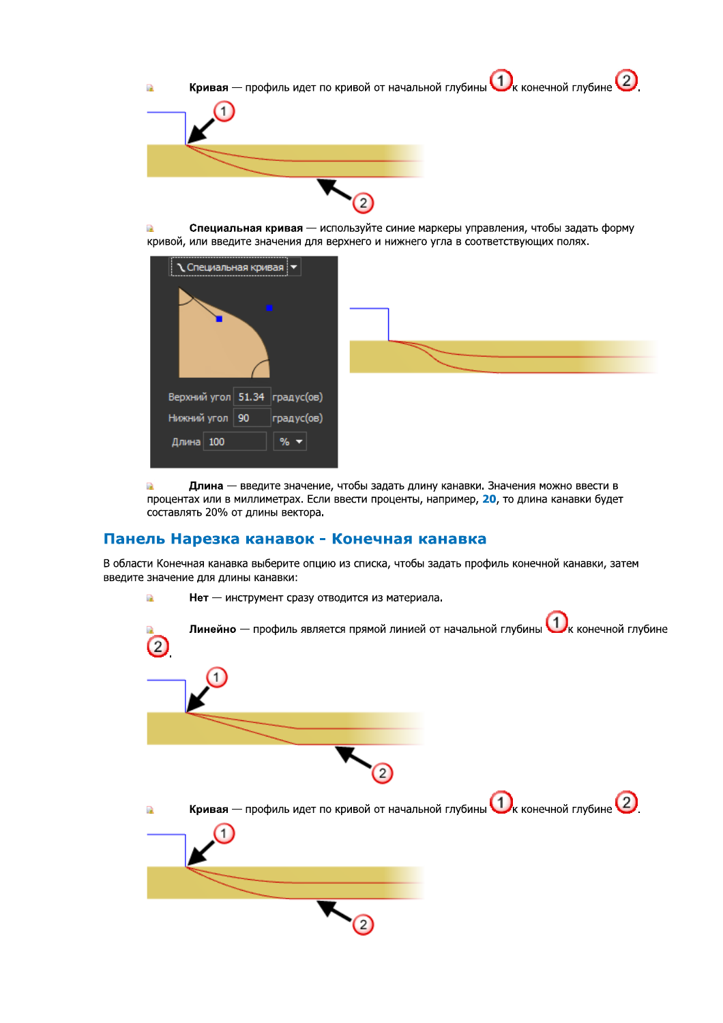

Специальная кривая — используйте синие маркеры управления, чтобы задать форму R кривой, или введите значения для верхнего и нижнего угла в соответствующих полях.



Длина - введите значение, чтобы задать длину канавки. Значения можно ввести в a, процентах или в миллиметрах. Если ввести проценты, например, 20, то длина канавки будет составлять 20% от длины вектора.

### Панель Нарезка канавок - Конечная канавка

В области Конечная канавка выберите опцию из списка, чтобы задать профиль конечной канавки, затем введите значение для длины канавки:

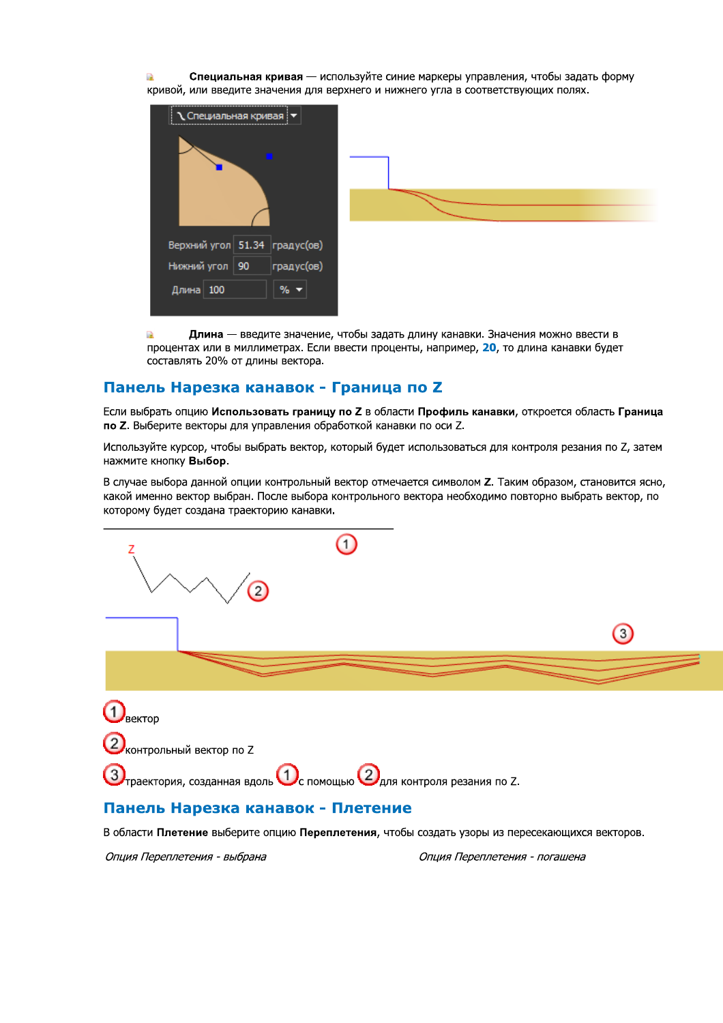Специальная кривая — используйте синие маркеры управления, чтобы задать форму П. кривой, или введите значения для верхнего и нижнего угла в соответствующих полях.



Длина — введите значение, чтобы задать длину канавки. Значения можно ввести в ПÀ. процентах или в миллиметрах. Если ввести проценты, например, 20, то длина канавки будет составлять 20% от длины вектора.

# Панель Нарезка канавок - Граница по Z

Если выбрать опцию Использовать границу по Z в области Профиль канавки, откроется область Граница по Z. Выберите векторы для управления обработкой канавки по оси Z.

Используйте курсор, чтобы выбрать вектор, который будет использоваться для контроля резания по Z, затем нажмите кнопку Выбор.

В случае выбора данной опции контрольный вектор отмечается символом Z. Таким образом, становится ясно, какой именно вектор выбран. После выбора контрольного вектора необходимо повторно выбрать вектор, по которому будет создана траекторию канавки.



В области Плетение выберите опцию Переплетения, чтобы создать узоры из пересекающихся векторов.

Опция Переплетения - выбрана

Опция Переплетения - погашена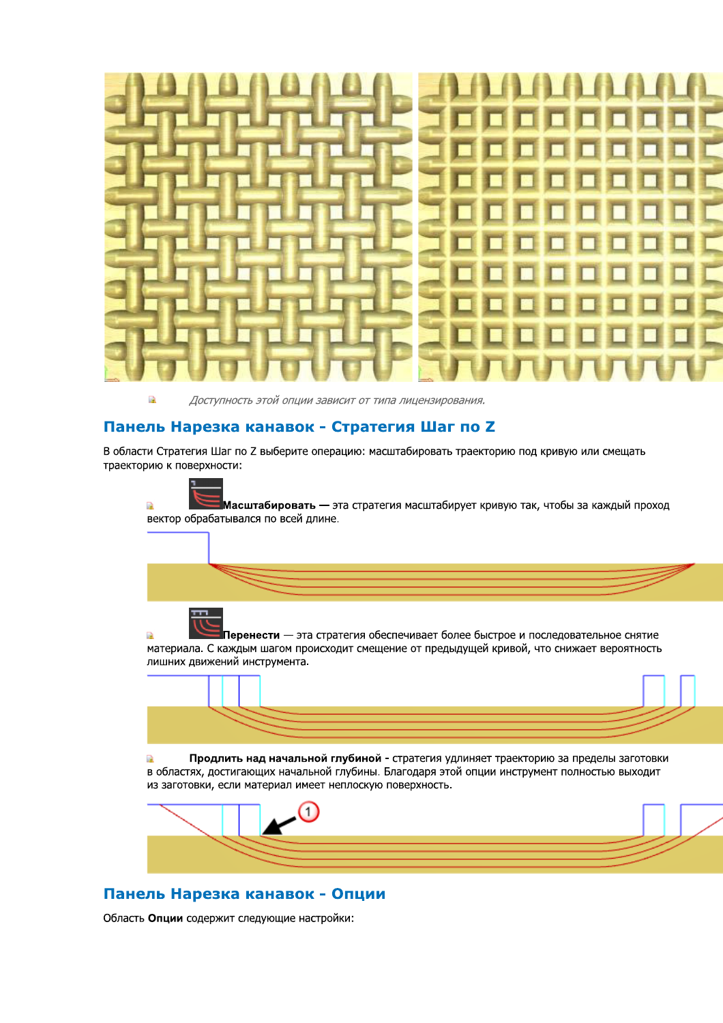

Доступность этой опции зависит от типа лицензирования.

#### Панель Нарезка канавок - Стратегия Шаг по Z

a)

В области Стратегия Шаг по Z выберите операцию: масштабировать траекторию под кривую или смещать траекторию к поверхности:

Масштабировать — эта стратегия масштабирует кривую так, чтобы за каждый проход  $\mathbb{R}^2$ вектор обрабатывался по всей длине. Перенести — эта стратегия обеспечивает более быстрое и последовательное снятие БÀ материала. С каждым шагом происходит смещение от предыдущей кривой, что снижает вероятность лишних движений инструмента. Продлить над начальной глубиной - стратегия удлиняет траекторию за пределы заготовки  $\mathbb{R}$ 

в областях, достигающих начальной глубины. Благодаря этой опции инструмент полностью выходит из заготовки, если материал имеет неплоскую поверхность.



# Панель Нарезка канавок - Опции

Область Опции содержит следующие настройки: